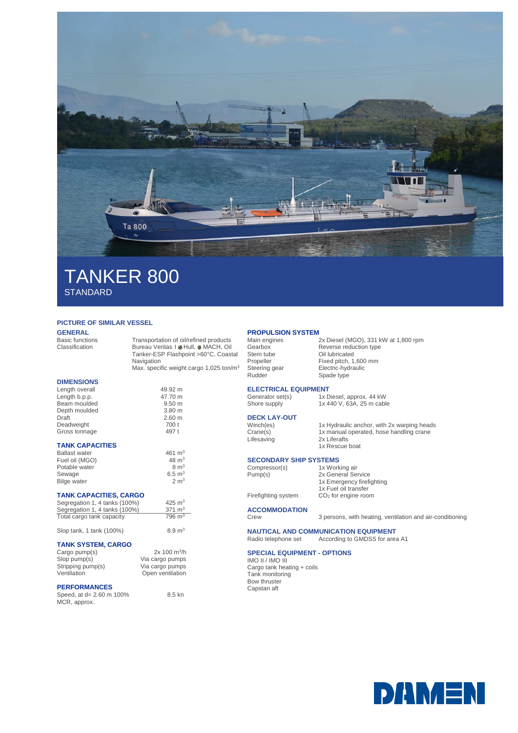

# TANKER 800 **STANDARD**

## **PICTURE OF SIMILAR VESSEL**

**GENERAL**<br>Basic functions

Basic functions Transportation of oil/refined products<br>Classification Bureau Veritas I Melull, MMACH, Oil Bureau Veritas I MHull, MACH, Oil Tanker-ESP Flashpoint >60°C, Coastal Navigation Max. specific weight cargo 1,025 ton/m<sup>3</sup>

## **DIMENSIONS**

| Length overall | 49.92 m           |
|----------------|-------------------|
| Length b.p.p.  | 47.70 m           |
| Beam moulded   | 9.50 <sub>m</sub> |
| Depth moulded  | 3.80 <sub>m</sub> |
| Draft          | 2.60 <sub>m</sub> |
| Deadweight     | 700 t             |
| Gross tonnage  | 497 t             |
|                |                   |

## **TANK CAPACITIES**

| <b>Ballast water</b> | 461 $\rm m^3$    |
|----------------------|------------------|
| Fuel oil (MGO)       | $48 \text{ m}^3$ |
| Potable water        | $8 \text{ m}^3$  |
| Sewage               | 6.5 $m3$         |
| <b>Bilge water</b>   | $2 \text{ m}^3$  |

## **TANK CAPACITIES, CARGO**

| Segregation 1, 4 tanks (100%) | 425 $m3$          |  |
|-------------------------------|-------------------|--|
| Segregation 1, 4 tanks (100%) | 371 $m3$          |  |
| Total cargo tank capacity     | $796 \text{ m}^3$ |  |

Slop tank, 1 tank  $(100\%)$  8.9 m<sup>3</sup>

### **TANK SYSTEM, CARGO**

| Cargo pump(s)     | 2x 100 m <sup>3</sup> /h |
|-------------------|--------------------------|
| $Slop$ pump $(s)$ | Via cargo pumps          |
| Stripping pump(s) | Via cargo pumps          |
| Ventilation       | Open ventilation         |
|                   |                          |

## **PERFORMANCES**

Speed, at d= 2.60 m 100% MCR, approx. 8.5 kn

## **PROPULSION SYSTEM**<br>Main engines

Stern tube Oil lubricated<br>Propeller Fixed pitch, 1,

Main engines 2x Diesel (MGO), 331 kW at 1,800 rpm<br>Gearbox Reverse reduction type Gearbox Reverse reduction type<br>
Stern tube Cil lubricated Propeller Fixed pitch, 1,600 mm<br>Steering gear Electric-hydraulic Steering gear Electric-hydraulic<br>
Rudder Spade type Spade type

1x 440 V, 63A, 25 m cable

# **ELECTRICAL EQUIPMENT**<br>Generator set(s) 1x D

Generator set(s) 1x Diesel, approx. 44 kW<br>Shore supply 1x 440 V, 63A, 25 m cable

## **DECK LAY-OUT**

Lifesaving

Winch(es) 1x Hydraulic anchor, with 2x warping heads<br>Crane(s) 1x manual operated, hose handling crane 1x manual operated, hose handling crane<br>2x Liferafts 1x Rescue boat

# **SECONDARY SHIP SYSTEMS**<br>Compressor(s) 1x Working air

Compressor(s)<br>Pump(s)

2x General Service 1x Emergency firefighting

1x Fuel oil transfer Firefighting system CO<sub>2</sub> for engine room

**ACCOMMODATION**

3 persons, with heating, ventilation and air-conditioning

# **NAUTICAL AND COMMUNICATION EQUIPMENT**<br>Radio telephone set According to GMDSS for area

According to GMDSS for area A1

#### **SPECIAL EQUIPMENT - OPTIONS** IMO II / IMO III

Cargo tank heating + coils Tank monitoring Bow thruster Capstan aft